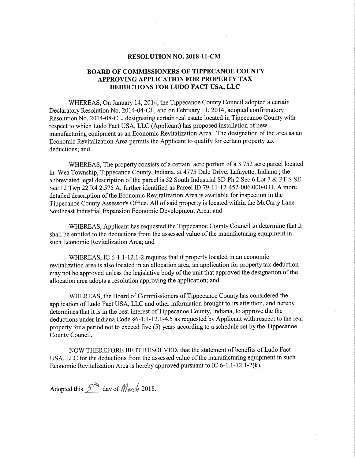#### RESOLUTION NO. 2018-11-CM

#### BOARD OF COMMISSIONERS OF TIPPECANOE COUNTY APPROVING APPLICATION FOR PROPERTY TAX DEDUCTIONS FOR LUDO FACT USA, LLC

WHEREAS, On January 14, 2014, the Tippecanoe County Council adopted <sup>a</sup> certain Declaratory Resolution No. 2014—04-CL, and on February 11,2014, adopted confirmatory Resolution No. 2014-08-CL, designating certain real estate located in Tippecanoe County with respect to which Ludo Fact USA, LLC (Applicant) has proposed installation of new manufacturing equipment as an Economic Revitalization Area. The designation of the area as an Economic Revitalization Area permits the Applicant to qualify for certain property tax deductions; and

WHEREAS, The property consists of <sup>a</sup> certain acre portion of <sup>a</sup> 3.752 acre parcel located in Wea Township, Tippecanoe County, Indiana, at <sup>4775</sup> Dale Drive, Lafayette, Indiana ; the abbreviated legal description of the parcel is <sup>52</sup> South Industrial SD Ph <sup>2</sup> Sec <sup>6</sup> Lot <sup>7</sup> & PT <sup>S</sup> SE Sec <sup>12</sup> Twp <sup>22</sup> R4 2.575 A, further identified as Parcel ID 79—11-12—452—006.000—031. <sup>A</sup> more ' detailed description of the Economic Revitalization Area is available for inspection in the Tippecanoe County Assessor's Office. All of said property is located within the McCarty Lane-Southeast Industrial Expansion Economic Development Area; and

WHEREAS, Applicant has requested the Tippecanoe County Council to determine that it shall be entitled to the deductions from the assessed value of the manufacturing equipment in such Economic Revitalization Area; and

WHEREAS, IC 6-1.1-12.1-2 requires that if property located in an economic revitalization area is also located in an allocation area, an application for property tax deduction may not be approved unless the legislative body of the unit that approved the designation of the allocation area adopts <sup>a</sup> resolution approving the application; and

WHEREAS, the Board of Commissioners of Tippecanoe County has considered the application of Ludo Fact USA, LLC and other information brought to its attention, and hereby determines that it is in the best interest of Tippecanoe County, Indiana, to approve the the deductions under Indiana Code §6-1.1-12.1-4.5 as requested by Applicant with respect to the real property for <sup>a</sup> period not to exceed five (5) years according to <sup>a</sup> schedule set by the Tippecanoe County Council.

NOW THEREFORE BE IT RESOLVED, that the statement of benefits of Ludo Fact USA, LLC for the deductions from the assessed value of the manufacturing equipment in such Economic Revitalization Area is hereby approved pursuant to IC 6-1.1-12.1-2(k).

Adopted this  $5^{44}$  day of *March* 2018.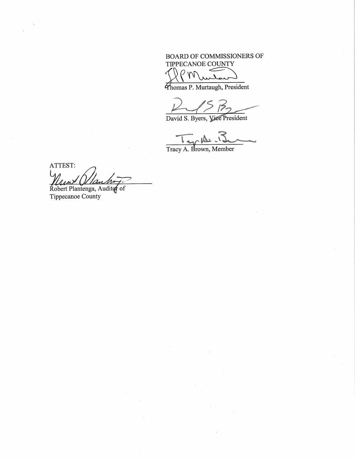### BOARD OF COMMISSIONERS OF TIPPECANOE COUNTY

 $\rho_{\rm W}$ ₫

Thomas P. Murtaugh, President

 $\frac{2}{7}$ 

David S. Byers, Viee President

Tracy A. Brown, Member

ATTEST: Ham Wanter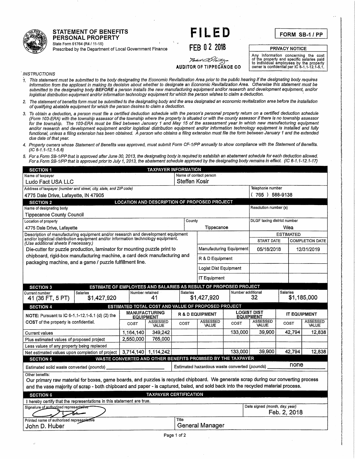# regenerate" State Form <sup>51764</sup> (R4l 11—15) <sup>r</sup> -, .. <sup>F</sup>' <sup>I</sup> <sup>L</sup> <sup>E</sup> <sup>D</sup> .

State Form 51764 (R4 / 11-15)<br>Prescribed by the Department of Local Government Finance FEB 0 2 2018 PRIVACY NOTICE

Any information concerning the cost<br>of the property and specific salaries paid<br>**AUDITOR OF TIPPECANOE CO** owner is confidential per IC 6-1.1-12.1-5.1.

FORM SB-1/PP

*INSTRUCTIONS* 

- 1. This statement must be submitted to the body designating the Economic Revitalization Area prior to the public hearing if the designating body requires information from the applicant in making its decision about whether to designate an Economic Revitalization Area. Otherwise this statement must be submitted to the designating body **BEFORE** a person installs the new manufacturing equipment and/or research and development equipment, and/or logistical distribution equipment and/or information technology equipment for which the person wishes to claim a deduction.
- 2. The statement of benefits form must be submitted to the designating body and the area designated an economic revitalization area before the installation of qualifiying abatable equipment for which the person desires to claim <sup>a</sup> deduction.
- 3. To obtain <sup>a</sup> deduction, <sup>a</sup> person must file <sup>a</sup> certified deduction schedule with the person's personal property return on <sup>a</sup> certified deduction schedule (Form 103~ERA) with the township assessor of the township where the property is situated or with the county assessor if there is no township assessor for the township. The 103-ERA must be filed between January <sup>1</sup> and May <sup>15</sup> of the assessment year in which new manufacturing equipment and/or research and development equipment and/or logistical distribution equipment and/or information technology equipment is installed and fully functional, unless <sup>a</sup> filing extension has been obtained. <sup>A</sup> person who obtains <sup>a</sup> filing extension must file the form between January <sup>1</sup> and the extended due date of that year.
- 4. Property owners whose Statement of Benefits was approved, must submit Form CF-1/PP annually to show compliance with the Statement of Benefits.  $(C 6 - 1.1 - 12.1 - 5.6)$
- 5. For <sup>a</sup> Form SB-1/PP that is approved alter June -30, 2013, the designating body is required to establish an abatement schedule for each deduction allowed. Fora Form SB-1/PP that is approved prior to July 1, 2013, the abatement schedule approved by the designating body remains in effect. (/0 6-1.1-12.1-17)

| <b>SECTION 1</b>                                                                                                                                                                                               |                                                                  |                          | <b>TAXPAYER INFORMATION</b>                                 |                  |                                              |                         |                                              |                     |                          |
|----------------------------------------------------------------------------------------------------------------------------------------------------------------------------------------------------------------|------------------------------------------------------------------|--------------------------|-------------------------------------------------------------|------------------|----------------------------------------------|-------------------------|----------------------------------------------|---------------------|--------------------------|
| Name of contact person<br>Name of taxpayer                                                                                                                                                                     |                                                                  |                          |                                                             |                  |                                              |                         |                                              |                     |                          |
| Ludo Fact USA LLC                                                                                                                                                                                              |                                                                  |                          |                                                             | Steffen Kosir    |                                              |                         |                                              |                     |                          |
| Address of taxpayer (number and street, city, state, and ZIP code)                                                                                                                                             |                                                                  |                          |                                                             | Telephone number |                                              |                         |                                              |                     |                          |
| 4775 Dale Drive, Lafayette, IN 47905                                                                                                                                                                           |                                                                  |                          |                                                             |                  |                                              |                         | $(765)$ 588-9138                             |                     |                          |
| <b>SECTION 2</b>                                                                                                                                                                                               |                                                                  |                          | <b>LOCATION AND DESCRIPTION OF PROPOSED PROJECT</b>         |                  |                                              |                         |                                              |                     |                          |
| Name of designating body                                                                                                                                                                                       |                                                                  |                          |                                                             |                  |                                              |                         | Resolution number (s)                        |                     |                          |
| <b>Tippecanoe County Council</b>                                                                                                                                                                               |                                                                  |                          |                                                             |                  |                                              |                         |                                              |                     |                          |
| Location of property                                                                                                                                                                                           |                                                                  |                          |                                                             | County           |                                              |                         | DLGF taxing district number                  |                     |                          |
| 4775 Dale Drive, Lafayette                                                                                                                                                                                     |                                                                  |                          |                                                             |                  | Tippecanoe                                   |                         |                                              | Wea                 |                          |
| Description of manufacturing equipment and/or research and development equipment<br>and/or logistical distribution equipment and/or information technology equipment.<br>(Use additional sheets if necessary.) |                                                                  |                          |                                                             |                  |                                              |                         | <b>START DATE</b>                            | <b>ESTIMATED</b>    | <b>COMPLETION DATE</b>   |
| Die-cutter for puzzle production, laminator for mounting puzzle print to                                                                                                                                       |                                                                  |                          |                                                             |                  |                                              | Manufacturing Equipment | 05/18/2018                                   |                     | 12/31/2019               |
| chipboard, rigid-box manufacturing machine, a card deck manufacturing and<br>packaging machine, and a game / puzzle fulfillment line.                                                                          |                                                                  |                          |                                                             |                  | R & D Equipment                              |                         |                                              |                     |                          |
|                                                                                                                                                                                                                |                                                                  |                          |                                                             |                  | Logist Dist Equipment                        |                         |                                              |                     |                          |
|                                                                                                                                                                                                                |                                                                  |                          |                                                             |                  | <b>IT Equipment</b>                          |                         |                                              |                     |                          |
|                                                                                                                                                                                                                | ESTIMATE OF EMPLOYEES AND SALARIES AS RESULT OF PROPOSED PROJECT |                          |                                                             |                  |                                              |                         |                                              |                     |                          |
| <b>SECTION 3</b>                                                                                                                                                                                               |                                                                  |                          |                                                             |                  |                                              |                         |                                              |                     |                          |
| Salaries<br>Current number<br>41 (36 FT, 5 PT)                                                                                                                                                                 | \$1,427,920                                                      | Number retained          | 41                                                          | <b>Salaries</b>  | \$1,427,920                                  | Number additional       | 32                                           | Salaries            | \$1,185,000              |
| <b>SECTION 4</b>                                                                                                                                                                                               |                                                                  |                          | ESTIMATED TOTAL COST AND VALUE OF PROPOSED PROJECT          |                  |                                              |                         |                                              |                     |                          |
|                                                                                                                                                                                                                |                                                                  | <b>MANUFACTURING</b>     |                                                             |                  | <b>R &amp; D EQUIPMENT</b>                   |                         | <b>LOGIST DIST</b>                           | <b>IT EQUIPMENT</b> |                          |
| NOTE: Pursuant to IC 6-1.1-12.1-5.1 (d) (2) the<br>COST of the property is confidential.                                                                                                                       |                                                                  | <b>EQUIPMENT</b><br>COST | ASSESSED<br>VALUE                                           | COST             | ASSESSED<br>VALUE                            | COST                    | <b>EQUIPMENT</b><br><b>ASSESSED</b><br>VALUE | COST                | <b>ASSESSED</b><br>VALUE |
| <b>Current values</b>                                                                                                                                                                                          |                                                                  | 1,164,140                | 349,242                                                     |                  |                                              | 133,000                 | 39,900                                       | 42,794              | 12,838                   |
| Plus estimated values of proposed project                                                                                                                                                                      |                                                                  | 2,550,000                | 765,000                                                     |                  |                                              |                         |                                              |                     |                          |
| Less values of any property being replaced                                                                                                                                                                     |                                                                  |                          |                                                             |                  |                                              |                         |                                              |                     |                          |
| Net estimated values upon completion of project   3,714,140   1,114,242                                                                                                                                        |                                                                  |                          |                                                             |                  |                                              | 133,000                 | 39.900                                       | 42,794              | 12,838                   |
| <b>SECTION 5</b>                                                                                                                                                                                               |                                                                  |                          | WASTE CONVERTED AND OTHER BENEFITS PROMISED BY THE TAXPAYER |                  |                                              |                         |                                              |                     |                          |
| Estimated solid waste converted (pounds)                                                                                                                                                                       |                                                                  |                          |                                                             |                  | Estimated hazardous waste converted (pounds) |                         |                                              | none                |                          |
| Other benefits:<br>Our primary raw material for boxes, game boards, and puzzles is recycled chipboard. We generate scrap during our converting process                                                         |                                                                  |                          |                                                             |                  |                                              |                         |                                              |                     |                          |
| and the vase majority of scrap - both chipboard and paper - is captured, baled, and sold back into the recycled material process.                                                                              |                                                                  |                          |                                                             |                  |                                              |                         |                                              |                     |                          |
| <b>SECTION 6</b>                                                                                                                                                                                               |                                                                  |                          | <b>TAXPAYER CERTIFICATION</b>                               |                  |                                              |                         |                                              |                     |                          |
| I hereby certify that the representations in this statement are true.                                                                                                                                          |                                                                  |                          |                                                             |                  |                                              |                         |                                              |                     |                          |
| Signature of authorized representative                                                                                                                                                                         |                                                                  |                          |                                                             |                  |                                              |                         | Date signed (month, day, year)               | Feb. 2, 2018        |                          |
| Printed name of authorized representative<br>John D. Huber                                                                                                                                                     |                                                                  |                          |                                                             | Title            | <b>General Manager</b>                       |                         |                                              |                     |                          |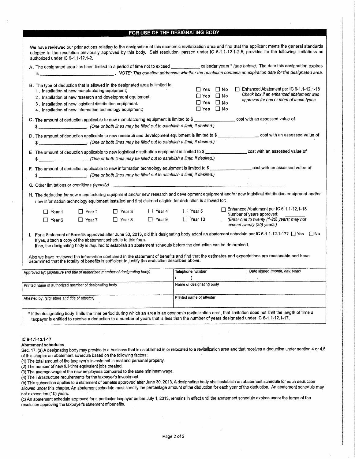#### FOR USE OF THE DESIGNATING BODY

|                                                                                                                                                                                                                                                                                                                                                                                                                                              | A. The designated area has been limited to a period of time not to exceed _____________ calendar years * (see below). The date this designation expires                           |
|----------------------------------------------------------------------------------------------------------------------------------------------------------------------------------------------------------------------------------------------------------------------------------------------------------------------------------------------------------------------------------------------------------------------------------------------|-----------------------------------------------------------------------------------------------------------------------------------------------------------------------------------|
|                                                                                                                                                                                                                                                                                                                                                                                                                                              |                                                                                                                                                                                   |
| B. The type of deduction that is allowed in the designated area is limited to:<br>1. Installation of new manufacturing equipment;                                                                                                                                                                                                                                                                                                            | $\Box$ Yes $\Box$ No<br>$\Box$ Enhanced Abatement per IC 6-1.1-12.1-18<br>Check box if an enhanced abatement was<br>$\Box$ Yes $\Box$ No                                          |
| 2. Installation of new research and development equipment;<br>3. Installation of new logistical distribution equipment.<br>4. Installation of new information technology equipment;                                                                                                                                                                                                                                                          | approved for one or more of these types.<br>$\Box$ Yes $\Box$ No<br>$\Box$ Yes $\Box$ No                                                                                          |
| C. The amount of deduction applicable to new manufacturing equipment is limited to \$<br>(One or both lines may be filled out to establish a limit, if desired.)<br>\$_                                                                                                                                                                                                                                                                      |                                                                                                                                                                                   |
|                                                                                                                                                                                                                                                                                                                                                                                                                                              | D. The amount of deduction applicable to new research and development equipment is limited to \$ _________________ cost with an assessed value of                                 |
| E. The amount of deduction applicable to new logistical distribution equipment is limited to \$ _________________ cost with an assessed value of<br>\$ ______________________. (One or both lines may be filled out to establish a limit, if desired.)                                                                                                                                                                                       |                                                                                                                                                                                   |
| F. The amount of deduction applicable to new information technology equipment is limited to \$ __________________ cost with an assessed value of<br>(One or both lines may be filled out to establish a limit, if desired.)<br>\$                                                                                                                                                                                                            |                                                                                                                                                                                   |
|                                                                                                                                                                                                                                                                                                                                                                                                                                              |                                                                                                                                                                                   |
| new information technology equipment installed and first claimed eligible for deduction is allowed for:                                                                                                                                                                                                                                                                                                                                      | H. The deduction for new manufacturing equipment and/or new research and development equipment and/or new logistical distribution equipment and/or                                |
| □ Year 4<br>□ Year 3<br>$\Box$ Year 2<br>□ Year 1<br>$\Box$ Year 9<br>$\Box$ Year 8<br>$\Box$ Year 7<br>□ Year 6                                                                                                                                                                                                                                                                                                                             | Enhanced Abatement per IC 6-1.1-12.1-18<br>$\Box$ Year 5<br>Number of years approved:<br>$\Box$ Year 10<br>(Enter one to twenty (1-20) years; may not                             |
| If yes, attach a copy of the abatement schedule to this form.<br>If no, the designating body is required to establish an abatement schedule before the deduction can be determined.<br>Also we have reviewed the information contained in the statement of benefits and find that the estimates and expectations are reasonable and have<br>determined that the totality of benefits is sufficient to justify the deduction described above. | exceed twenty (20) years.)<br>I. For a Statement of Benefits approved after June 30, 2013, did this designating body adopt an abatement schedule per IC 6-1.1-12.1-17? [ Tes [ No |
| Approved by: (signature and title of authorized member of designating body)                                                                                                                                                                                                                                                                                                                                                                  | Date signed (month, day, year)<br>Telephone number                                                                                                                                |
| Printed name of authorized member of designating body                                                                                                                                                                                                                                                                                                                                                                                        | $\lambda$<br>$\alpha$ and $\alpha$<br>Name of designating body                                                                                                                    |
| Attested by: (signature and title of attester)                                                                                                                                                                                                                                                                                                                                                                                               | Printed name of attester                                                                                                                                                          |
| * If the designating body limits the time period during which an area is an economic revitalization area, that limitation does not limit the length of time a<br>taxpayer is entitled to receive a deduction to a number of years that is less than the number of years designated under IC 6-1.1-12.1-17.                                                                                                                                   |                                                                                                                                                                                   |
| IC 6-1.1-12.1-17                                                                                                                                                                                                                                                                                                                                                                                                                             |                                                                                                                                                                                   |

(2) The number of new full-time equivalent jobs created.

(3) The average wage ofthe new employees compared to the state minimum wage.

(4) The infrastructure requirements for the taxpayer's investment.

(b) This subsection applies to <sup>a</sup> statement of benefits approved after June 30, 2013. Adesignating body shall establish an abatement schedule for each deduction allowed under this chapter. An abatement schedule must specify the percentage amount of the deduction for each year of the deduction. An abatement schedule may not exceed ten (10) years.

not exceed ten (10) years.<br>(c) An abatement schedule approved for a particular taxpayer before July 1, 2013, remains in effect until the abatement schedule expires under the terms of the resolution approving the taxpayer's statement of benefits.

 $\sim$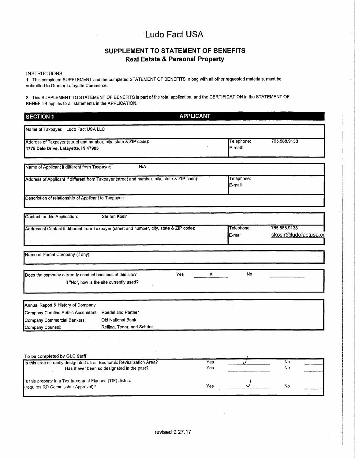### SUPPLEMENT TO STATEMENT OF BENEFITS Real Estate & Personal Property

#### INSTRUCTIONS:

1. This completed SUPPLEMENT and the completed STATEMENT OF BENEFITS, along with all other requested materials, must be submitted to Greater Lafayette Commerce.

2. This SUPPLEMENT TO STATEMENT OF BENEFITS is part of the total application. and the CERTIFICATION in'the STATEMENT OF BENEFITS applies to all statements in the APPLICATION.

| <b>SECTION 1</b>                                                                                         |                                                  | <b>APPLICANT</b> |            |                       |                                       |
|----------------------------------------------------------------------------------------------------------|--------------------------------------------------|------------------|------------|-----------------------|---------------------------------------|
| Name of Taxpayer: Ludo Fact USA LLC                                                                      |                                                  |                  |            |                       |                                       |
| Address of Taxpayer (street and number, city, state & ZIP code):<br>4775 Dale Drive, Lafayette, IN 47905 |                                                  |                  |            | Telephone:<br>E-mail: | 765.588.9138                          |
| Name of Applicant if different from Taxpayer:                                                            | N/A                                              |                  |            |                       |                                       |
| Address of Applicant if different from Taxpayer (street and number, city, state & ZIP code):             |                                                  |                  |            | Telephone:<br>E-mail: |                                       |
| Description of relationship of Applicant to Taxpayer:                                                    |                                                  |                  |            |                       |                                       |
| Contact for this Application:                                                                            | Steffen Kosir                                    |                  |            |                       |                                       |
| Address of Contact if different from Taxpayer (street and number, city, state & ZIP code):               |                                                  |                  |            | Telephone:<br>E-mail: | 765.588.9138<br>skosir@ludofactusa.co |
| Name of Parent Company (if any):                                                                         |                                                  |                  |            |                       |                                       |
| Does the company currently conduct business at this site?                                                | If "No", how is the site currently used?         | Yes              | x          | No                    |                                       |
| Annual Report & History of Company                                                                       |                                                  |                  |            |                       |                                       |
| Company Certified Public Accountant: Roedel and Partner                                                  |                                                  |                  |            |                       |                                       |
| Company Commercial Bankers:<br>Company Counsel:                                                          | Old National Bank<br>Reiling, Teder, and Schrier |                  |            |                       |                                       |
|                                                                                                          |                                                  |                  |            |                       |                                       |
| To be completed by GLC Staff                                                                             |                                                  |                  |            |                       |                                       |
| Is this area currently designated as an Economic Revitalization Area?                                    | Has it ever been so designated in the past?      |                  | Yes<br>Yes |                       | <b>No</b><br>No                       |
| Is this property in a Tax Increment Finance (TIF) district<br>(requires RD Commission Approval)?         |                                                  |                  | Yes        |                       | No                                    |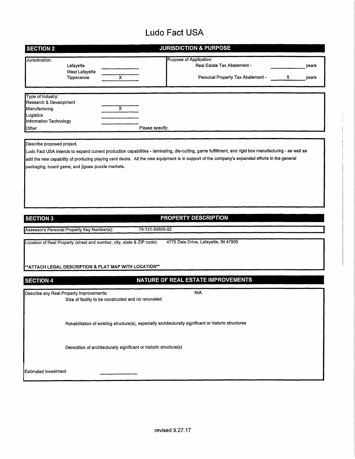|                                                                                                                                 |                                                   |                                                                        |                 | <b>JURISDICTION &amp; PURPOSE</b>                                                                                                                                                                                                                                                                     |   |                |
|---------------------------------------------------------------------------------------------------------------------------------|---------------------------------------------------|------------------------------------------------------------------------|-----------------|-------------------------------------------------------------------------------------------------------------------------------------------------------------------------------------------------------------------------------------------------------------------------------------------------------|---|----------------|
| Jurisdication:                                                                                                                  | Lafayette<br>West Lafayette<br>Tippecanoe         | x                                                                      |                 | Purpose of Application:<br>Real Estate Tax Abatement -<br>Personal Property Tax Abatement -                                                                                                                                                                                                           | 5 | years<br>years |
| Type of Industry:<br>Research & Development<br>Manufacturing<br>Logistics<br>Information Technology<br>Other                    |                                                   | $\overline{\mathsf{x}}$                                                | Please specify: |                                                                                                                                                                                                                                                                                                       |   |                |
| Describe proposed project.                                                                                                      | packaging, board game, and jigsaw puzzle markets. |                                                                        |                 | Ludo Fact USA intends to expand current production capabilities - laminating, die-cutting, game fulfillment, and rigid box manufacturing - as well as<br>add the new capability of producing playing card decks. All the new equipment is in support of the company's expanded efforts in the general |   |                |
|                                                                                                                                 |                                                   |                                                                        |                 |                                                                                                                                                                                                                                                                                                       |   |                |
|                                                                                                                                 |                                                   |                                                                        | 79-131-55605-02 | <b>PROPERTY DESCRIPTION</b>                                                                                                                                                                                                                                                                           |   |                |
|                                                                                                                                 |                                                   | Location of Real Property (street and number, city, state & ZIP code): |                 | 4775 Dale Drive, Lafayette, IN 47905                                                                                                                                                                                                                                                                  |   |                |
|                                                                                                                                 |                                                   | **ATTACH LEGAL DESCRIPTION & PLAT MAP WITH LOCATION**                  |                 |                                                                                                                                                                                                                                                                                                       |   |                |
|                                                                                                                                 |                                                   |                                                                        |                 | NATURE OF REAL ESTATE IMPROVEMENTS                                                                                                                                                                                                                                                                    |   |                |
|                                                                                                                                 |                                                   | Size of facility to be constructed and /or renovated                   |                 | N/A                                                                                                                                                                                                                                                                                                   |   |                |
|                                                                                                                                 |                                                   |                                                                        |                 | Rehabilitation of existing structure(s), especially architecturally significant or historic structures                                                                                                                                                                                                |   |                |
| <b>SECTION 3</b><br>Assessor's Personal Property Key Number(s):<br><b>SECTION 4</b><br>Describe any Real Property Improvements: |                                                   | Demolition of architecturally significant or historic structure(s)     |                 |                                                                                                                                                                                                                                                                                                       |   |                |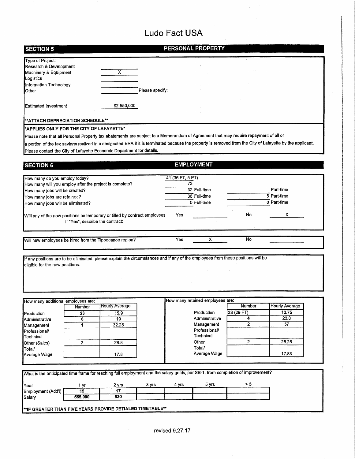| <b>SECTION 5</b>                                                                                                                                                                |                         |                 |                        | PERSONAL PROPERTY                |                         |                          |  |
|---------------------------------------------------------------------------------------------------------------------------------------------------------------------------------|-------------------------|-----------------|------------------------|----------------------------------|-------------------------|--------------------------|--|
| <b>Type of Project:</b><br>Research & Development                                                                                                                               |                         |                 |                        |                                  |                         |                          |  |
| Machinery & Equipment<br>Logistics                                                                                                                                              | $\overline{\mathsf{x}}$ |                 |                        |                                  |                         |                          |  |
| Information Technology<br>Other                                                                                                                                                 |                         | Please specify: |                        |                                  |                         |                          |  |
|                                                                                                                                                                                 |                         |                 |                        |                                  |                         |                          |  |
| <b>Estimated Investment</b>                                                                                                                                                     | \$2,550,000             |                 |                        |                                  |                         |                          |  |
| **ATTACH DEPRECIATION SCHEDULE**                                                                                                                                                |                         |                 |                        |                                  |                         |                          |  |
| *APPLIES ONLY FOR THE CITY OF LAFAYETTE*<br>Please note that all Personal Property tax abatements are subject to a Memorandum of Agreement that may require repayment of all or |                         |                 |                        |                                  |                         |                          |  |
| a portion of the tax savings realized in a designated ERA if it is terminated because the property is removed from the City of Lafayette by the applicant.                      |                         |                 |                        |                                  |                         |                          |  |
| Please contact the City of Lafayette Economic Department for details.                                                                                                           |                         |                 |                        |                                  |                         |                          |  |
| <b>SECTION 6</b>                                                                                                                                                                |                         |                 |                        | <b>EMPLOYMENT</b>                |                         |                          |  |
|                                                                                                                                                                                 |                         |                 |                        |                                  |                         |                          |  |
| How many do you employ today?<br>How many will you employ after the project is complete?                                                                                        |                         |                 | 41 (36 FT, 5 PT)<br>73 |                                  |                         |                          |  |
| How many jobs will be created?                                                                                                                                                  |                         |                 |                        | 32 Full-time                     |                         | Part-time                |  |
| How many jobs are retained?                                                                                                                                                     |                         |                 |                        | 36 Full-time                     |                         | $\overline{5}$ Part-time |  |
| How many jobs will be eliminated?                                                                                                                                               |                         |                 |                        | 0 Full-time                      |                         | 0 Part-time              |  |
| Will any of the new positions be temporary or filled by contract employees<br>If "Yes", describe the contract:                                                                  |                         |                 | Yes                    |                                  | No                      | х                        |  |
| Will new employees be hired from the Tippecanoe region?                                                                                                                         |                         |                 | Yes                    | х                                | No                      |                          |  |
| If any positions are to be eliminated, please explain the circumstances and if any of the employees from these positions will be                                                |                         |                 |                        |                                  |                         |                          |  |
| eligible for the new positions.                                                                                                                                                 |                         |                 |                        |                                  |                         |                          |  |
|                                                                                                                                                                                 |                         |                 |                        |                                  |                         |                          |  |
|                                                                                                                                                                                 |                         |                 |                        |                                  |                         |                          |  |
| How many additional employees are:                                                                                                                                              | <b>Hourly Average</b>   |                 |                        | How many retained employees are: | Number                  | <b>Hourly Average</b>    |  |
| Number                                                                                                                                                                          | 15.9                    |                 |                        | Production                       | 33 (29 FT)              | 13.75                    |  |
| 23<br>Production<br>6<br>Administrative                                                                                                                                         | 19                      |                 |                        | Administrative                   | 4                       | 23.8                     |  |
| 1<br>Management                                                                                                                                                                 | 32.25                   |                 |                        | Management                       | $\overline{\mathbf{2}}$ | 57                       |  |
| Professional/<br>Technical                                                                                                                                                      |                         |                 |                        | Professional/<br>Technical       |                         |                          |  |
| $\mathbf{2}$<br>Other (Sales)                                                                                                                                                   | 28.8                    |                 |                        | Other                            | $\mathbf{2}$            | 25.25                    |  |
| Total/<br>Average Wage                                                                                                                                                          | 17.8                    |                 |                        | Total/<br>Average Wage           |                         | 17.83                    |  |
|                                                                                                                                                                                 |                         |                 |                        |                                  |                         |                          |  |
| What is the anticipated time frame for reaching full employment and the salary goals, per SB-1, from completion of improvement?                                                 |                         |                 |                        |                                  |                         |                          |  |
|                                                                                                                                                                                 |                         | 3 yrs           | 4 yrs                  | 5 yrs                            | > 5                     |                          |  |
|                                                                                                                                                                                 |                         |                 |                        |                                  |                         |                          |  |
| Year<br>1 yr<br>15                                                                                                                                                              | 2 yrs<br>17             |                 |                        |                                  |                         |                          |  |
| Employment (Add'l)<br>555,000<br>Salary                                                                                                                                         | 630                     |                 |                        |                                  |                         |                          |  |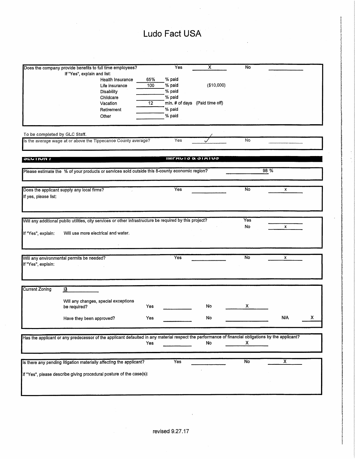|                               | Does the company provide benefits to full time employees?                                                                                          |     | Yes                          | х                              | No                        |      |   |
|-------------------------------|----------------------------------------------------------------------------------------------------------------------------------------------------|-----|------------------------------|--------------------------------|---------------------------|------|---|
|                               | If "Yes", explain and list:                                                                                                                        |     |                              |                                |                           |      |   |
|                               | Health Insurance                                                                                                                                   | 65% | % paid                       |                                |                           |      |   |
|                               | Life insurance                                                                                                                                     | 100 | % paid                       | (\$10,000)                     |                           |      |   |
|                               | <b>Disability</b>                                                                                                                                  |     | % paid                       |                                |                           |      |   |
|                               | Childcare                                                                                                                                          |     | % paid                       |                                |                           |      |   |
|                               | Vacation                                                                                                                                           | 12  |                              | min. # of days (Paid time off) |                           |      |   |
|                               | Retirement                                                                                                                                         |     | % paid                       |                                |                           |      |   |
|                               | Other                                                                                                                                              |     | % paid                       |                                |                           |      |   |
|                               |                                                                                                                                                    |     |                              |                                |                           |      |   |
|                               |                                                                                                                                                    |     |                              |                                |                           |      |   |
| To be completed by GLC Staff. |                                                                                                                                                    |     |                              |                                |                           |      |   |
|                               | Is the average wage at or above the Tippecanoe County average?                                                                                     |     | Yes                          |                                | No                        |      |   |
|                               |                                                                                                                                                    |     |                              |                                |                           |      |   |
|                               |                                                                                                                                                    |     |                              |                                |                           |      |   |
| <b>JEVIIUIVI</b>              |                                                                                                                                                    |     | <b>INITAUIO &amp; JIMIUO</b> |                                |                           |      |   |
|                               |                                                                                                                                                    |     |                              |                                |                           |      |   |
|                               | Please estimate the % of your products or services sold outside this 8-county economic region?                                                     |     |                              |                                |                           | 98 % |   |
|                               |                                                                                                                                                    |     |                              |                                |                           |      |   |
|                               |                                                                                                                                                    |     |                              |                                |                           |      |   |
|                               | Does the applicant supply any local firms?                                                                                                         |     | Yes                          |                                | No                        | X    |   |
| If yes, please list:          |                                                                                                                                                    |     |                              |                                |                           |      |   |
|                               |                                                                                                                                                    |     |                              |                                |                           |      |   |
|                               |                                                                                                                                                    |     |                              |                                |                           |      |   |
|                               |                                                                                                                                                    |     |                              |                                |                           |      |   |
|                               | Will any additional public utilities, city services or other infrastructure be required by this project?                                           |     |                              |                                | Yes                       |      |   |
|                               |                                                                                                                                                    |     |                              |                                | No                        | x    |   |
| If "Yes", explain:            | Will use more electrical and water.                                                                                                                |     |                              |                                |                           |      |   |
|                               |                                                                                                                                                    |     |                              |                                |                           |      |   |
|                               |                                                                                                                                                    |     |                              |                                |                           |      |   |
|                               |                                                                                                                                                    |     |                              |                                |                           |      |   |
|                               | Will any environmental permits be needed?                                                                                                          |     | Yes                          |                                | No                        | x    |   |
| If "Yes", explain:            |                                                                                                                                                    |     |                              |                                |                           |      |   |
|                               |                                                                                                                                                    |     |                              |                                |                           |      |   |
|                               |                                                                                                                                                    |     |                              |                                |                           |      |   |
|                               |                                                                                                                                                    |     |                              |                                |                           |      |   |
| <b>Current Zoning</b>         | $\overline{13}$                                                                                                                                    |     |                              |                                |                           |      |   |
|                               |                                                                                                                                                    |     |                              |                                |                           |      |   |
|                               | Will any changes, special exceptions                                                                                                               |     |                              |                                |                           |      |   |
|                               | be required?                                                                                                                                       | Yes |                              | No                             | x                         |      |   |
|                               |                                                                                                                                                    |     |                              |                                |                           |      |   |
|                               |                                                                                                                                                    |     |                              | No                             |                           | N/A  | x |
|                               | Have they been approved?                                                                                                                           | Yes |                              |                                |                           |      |   |
|                               |                                                                                                                                                    |     |                              |                                |                           |      |   |
|                               |                                                                                                                                                    |     |                              |                                |                           |      |   |
|                               | Has the applicant or any predecessor of the applicant defaulted in any material respect the performance of financial obligations by the applicant? |     |                              |                                |                           |      |   |
|                               |                                                                                                                                                    | Yes |                              | No                             | $\boldsymbol{\mathsf{x}}$ |      |   |
|                               |                                                                                                                                                    |     |                              |                                |                           |      |   |
|                               |                                                                                                                                                    |     |                              |                                |                           |      |   |
|                               | Is there any pending litigation materially affecting the applicant?                                                                                |     | Yes                          |                                | $\overline{N_{0}}$        | x    |   |
|                               |                                                                                                                                                    |     |                              |                                |                           |      |   |
|                               | If "Yes", please describe giving procedural posture of the case(s):                                                                                |     |                              |                                |                           |      |   |
|                               |                                                                                                                                                    |     |                              |                                |                           |      |   |